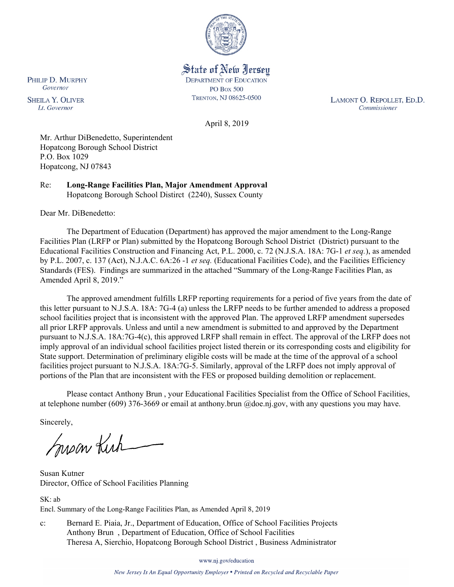

State of New Jersey **DEPARTMENT OF EDUCATION PO Box 500** TRENTON, NJ 08625-0500

LAMONT O. REPOLLET, ED.D. Commissioner

April 8, 2019

Mr. Arthur DiBenedetto, Superintendent Hopatcong Borough School District P.O. Box 1029 Hopatcong, NJ 07843

Re: **Long-Range Facilities Plan, Major Amendment Approval** Hopatcong Borough School Distirct (2240), Sussex County

Dear Mr. DiBenedetto:

The Department of Education (Department) has approved the major amendment to the Long-Range Facilities Plan (LRFP or Plan) submitted by the Hopatcong Borough School District (District) pursuant to the Educational Facilities Construction and Financing Act, P.L. 2000, c. 72 (N.J.S.A. 18A: 7G-1 *et seq.*), as amended by P.L. 2007, c. 137 (Act), N.J.A.C. 6A:26 -1 *et seq.* (Educational Facilities Code), and the Facilities Efficiency Standards (FES). Findings are summarized in the attached "Summary of the Long-Range Facilities Plan, as Amended April 8, 2019."

The approved amendment fulfills LRFP reporting requirements for a period of five years from the date of this letter pursuant to N.J.S.A. 18A: 7G-4 (a) unless the LRFP needs to be further amended to address a proposed school facilities project that is inconsistent with the approved Plan. The approved LRFP amendment supersedes all prior LRFP approvals. Unless and until a new amendment is submitted to and approved by the Department pursuant to N.J.S.A. 18A:7G-4(c), this approved LRFP shall remain in effect. The approval of the LRFP does not imply approval of an individual school facilities project listed therein or its corresponding costs and eligibility for State support. Determination of preliminary eligible costs will be made at the time of the approval of a school facilities project pursuant to N.J.S.A. 18A:7G-5. Similarly, approval of the LRFP does not imply approval of portions of the Plan that are inconsistent with the FES or proposed building demolition or replacement.

Please contact Anthony Brun , your Educational Facilities Specialist from the Office of School Facilities, at telephone number (609) 376-3669 or email at anthony.brun @doe.nj.gov, with any questions you may have.

Sincerely,

mean Kich

Susan Kutner Director, Office of School Facilities Planning

SK: ab Encl. Summary of the Long-Range Facilities Plan, as Amended April 8, 2019

c: Bernard E. Piaia, Jr., Department of Education, Office of School Facilities Projects Anthony Brun , Department of Education, Office of School Facilities Theresa A, Sierchio, Hopatcong Borough School District , Business Administrator

www.nj.gov/education

New Jersey Is An Equal Opportunity Employer . Printed on Recycled and Recyclable Paper

PHILIP D. MURPHY Governor

**SHEILA Y. OLIVER** Lt. Governor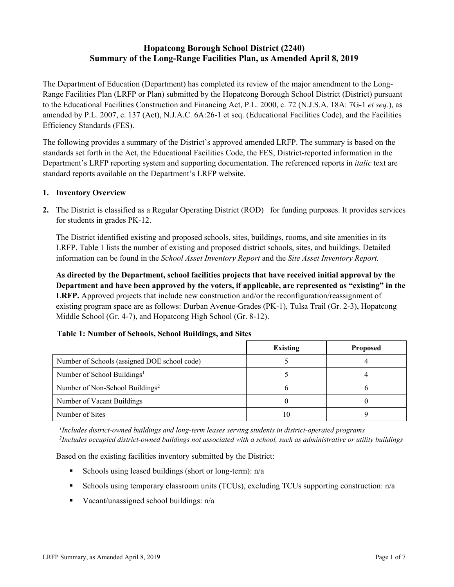# **Hopatcong Borough School District (2240) Summary of the Long-Range Facilities Plan, as Amended April 8, 2019**

The Department of Education (Department) has completed its review of the major amendment to the Long-Range Facilities Plan (LRFP or Plan) submitted by the Hopatcong Borough School District (District) pursuant to the Educational Facilities Construction and Financing Act, P.L. 2000, c. 72 (N.J.S.A. 18A: 7G-1 *et seq.*), as amended by P.L. 2007, c. 137 (Act), N.J.A.C. 6A:26-1 et seq. (Educational Facilities Code), and the Facilities Efficiency Standards (FES).

The following provides a summary of the District's approved amended LRFP. The summary is based on the standards set forth in the Act, the Educational Facilities Code, the FES, District-reported information in the Department's LRFP reporting system and supporting documentation. The referenced reports in *italic* text are standard reports available on the Department's LRFP website.

#### **1. Inventory Overview**

**2.** The District is classified as a Regular Operating District (ROD) for funding purposes. It provides services for students in grades PK-12.

The District identified existing and proposed schools, sites, buildings, rooms, and site amenities in its LRFP. Table 1 lists the number of existing and proposed district schools, sites, and buildings. Detailed information can be found in the *School Asset Inventory Report* and the *Site Asset Inventory Report.*

**As directed by the Department, school facilities projects that have received initial approval by the Department and have been approved by the voters, if applicable, are represented as "existing" in the LRFP.** Approved projects that include new construction and/or the reconfiguration/reassignment of existing program space are as follows: Durban Avenue-Grades (PK-1), Tulsa Trail (Gr. 2-3), Hopatcong Middle School (Gr. 4-7), and Hopatcong High School (Gr. 8-12).

|                                              | <b>Existing</b> | <b>Proposed</b> |
|----------------------------------------------|-----------------|-----------------|
| Number of Schools (assigned DOE school code) |                 |                 |
| Number of School Buildings <sup>1</sup>      |                 |                 |
| Number of Non-School Buildings <sup>2</sup>  |                 |                 |
| Number of Vacant Buildings                   |                 |                 |
| Number of Sites                              | 10              |                 |

#### **Table 1: Number of Schools, School Buildings, and Sites**

*1 Includes district-owned buildings and long-term leases serving students in district-operated programs 2 Includes occupied district-owned buildings not associated with a school, such as administrative or utility buildings*

Based on the existing facilities inventory submitted by the District:

- Schools using leased buildings (short or long-term):  $n/a$
- Schools using temporary classroom units (TCUs), excluding TCUs supporting construction:  $n/a$
- Vacant/unassigned school buildings:  $n/a$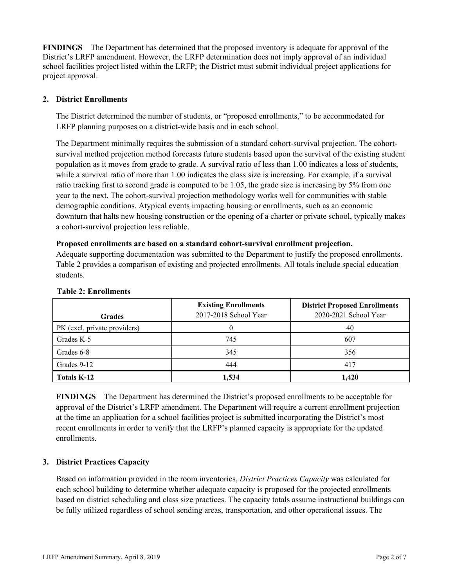**FINDINGS** The Department has determined that the proposed inventory is adequate for approval of the District's LRFP amendment. However, the LRFP determination does not imply approval of an individual school facilities project listed within the LRFP; the District must submit individual project applications for project approval.

## **2. District Enrollments**

The District determined the number of students, or "proposed enrollments," to be accommodated for LRFP planning purposes on a district-wide basis and in each school.

The Department minimally requires the submission of a standard cohort-survival projection. The cohortsurvival method projection method forecasts future students based upon the survival of the existing student population as it moves from grade to grade. A survival ratio of less than 1.00 indicates a loss of students, while a survival ratio of more than 1.00 indicates the class size is increasing. For example, if a survival ratio tracking first to second grade is computed to be 1.05, the grade size is increasing by 5% from one year to the next. The cohort-survival projection methodology works well for communities with stable demographic conditions. Atypical events impacting housing or enrollments, such as an economic downturn that halts new housing construction or the opening of a charter or private school, typically makes a cohort-survival projection less reliable.

#### **Proposed enrollments are based on a standard cohort-survival enrollment projection.**

Adequate supporting documentation was submitted to the Department to justify the proposed enrollments. Table 2 provides a comparison of existing and projected enrollments. All totals include special education students.

| <b>Grades</b>                | <b>Existing Enrollments</b><br>2017-2018 School Year | <b>District Proposed Enrollments</b><br>2020-2021 School Year |
|------------------------------|------------------------------------------------------|---------------------------------------------------------------|
| PK (excl. private providers) |                                                      | 40                                                            |
| Grades K-5                   | 745                                                  | 607                                                           |
| Grades 6-8                   | 345                                                  | 356                                                           |
| Grades 9-12                  | 444                                                  | 417                                                           |
| <b>Totals K-12</b>           | 1,534                                                | 1,420                                                         |

#### **Table 2: Enrollments**

**FINDINGS** The Department has determined the District's proposed enrollments to be acceptable for approval of the District's LRFP amendment. The Department will require a current enrollment projection at the time an application for a school facilities project is submitted incorporating the District's most recent enrollments in order to verify that the LRFP's planned capacity is appropriate for the updated enrollments.

## **3. District Practices Capacity**

Based on information provided in the room inventories, *District Practices Capacity* was calculated for each school building to determine whether adequate capacity is proposed for the projected enrollments based on district scheduling and class size practices. The capacity totals assume instructional buildings can be fully utilized regardless of school sending areas, transportation, and other operational issues. The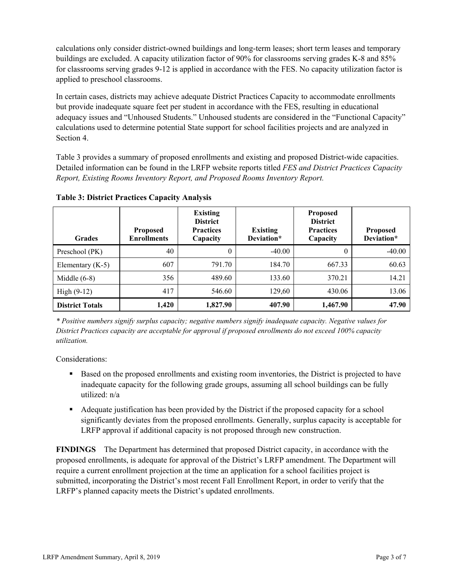calculations only consider district-owned buildings and long-term leases; short term leases and temporary buildings are excluded. A capacity utilization factor of 90% for classrooms serving grades K-8 and 85% for classrooms serving grades 9-12 is applied in accordance with the FES. No capacity utilization factor is applied to preschool classrooms.

In certain cases, districts may achieve adequate District Practices Capacity to accommodate enrollments but provide inadequate square feet per student in accordance with the FES, resulting in educational adequacy issues and "Unhoused Students." Unhoused students are considered in the "Functional Capacity" calculations used to determine potential State support for school facilities projects and are analyzed in Section 4.

Table 3 provides a summary of proposed enrollments and existing and proposed District-wide capacities. Detailed information can be found in the LRFP website reports titled *FES and District Practices Capacity Report, Existing Rooms Inventory Report, and Proposed Rooms Inventory Report.*

| <b>Grades</b>          | <b>Proposed</b><br><b>Enrollments</b> | <b>Existing</b><br><b>District</b><br><b>Practices</b><br>Capacity | <b>Existing</b><br>Deviation* | <b>Proposed</b><br><b>District</b><br><b>Practices</b><br>Capacity | <b>Proposed</b><br>Deviation* |
|------------------------|---------------------------------------|--------------------------------------------------------------------|-------------------------------|--------------------------------------------------------------------|-------------------------------|
| Preschool (PK)         | 40                                    | $\theta$                                                           | $-40.00$                      | 0                                                                  | $-40.00$                      |
| Elementary $(K-5)$     | 607                                   | 791.70                                                             | 184.70                        | 667.33                                                             | 60.63                         |
| Middle $(6-8)$         | 356                                   | 489.60                                                             | 133.60                        | 370.21                                                             | 14.21                         |
| High $(9-12)$          | 417                                   | 546.60                                                             | 129,60                        | 430.06                                                             | 13.06                         |
| <b>District Totals</b> | 1,420                                 | 1,827.90                                                           | 407.90                        | 1,467.90                                                           | 47.90                         |

**Table 3: District Practices Capacity Analysis**

*\* Positive numbers signify surplus capacity; negative numbers signify inadequate capacity. Negative values for District Practices capacity are acceptable for approval if proposed enrollments do not exceed 100% capacity utilization.*

Considerations:

- **Based on the proposed enrollments and existing room inventories, the District is projected to have** inadequate capacity for the following grade groups, assuming all school buildings can be fully utilized: n/a
- Adequate justification has been provided by the District if the proposed capacity for a school significantly deviates from the proposed enrollments. Generally, surplus capacity is acceptable for LRFP approval if additional capacity is not proposed through new construction.

**FINDINGS**The Department has determined that proposed District capacity, in accordance with the proposed enrollments, is adequate for approval of the District's LRFP amendment. The Department will require a current enrollment projection at the time an application for a school facilities project is submitted, incorporating the District's most recent Fall Enrollment Report, in order to verify that the LRFP's planned capacity meets the District's updated enrollments.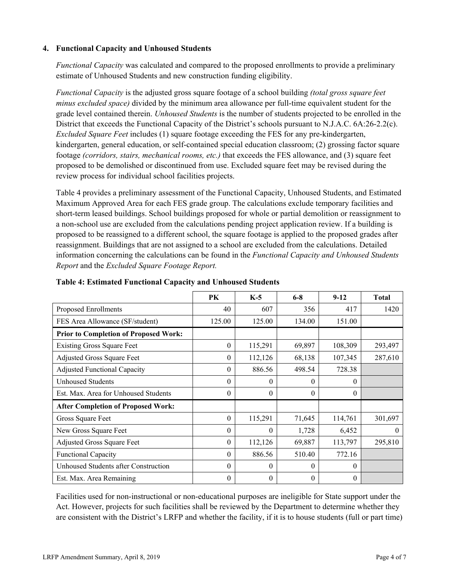### **4. Functional Capacity and Unhoused Students**

*Functional Capacity* was calculated and compared to the proposed enrollments to provide a preliminary estimate of Unhoused Students and new construction funding eligibility.

*Functional Capacity* is the adjusted gross square footage of a school building *(total gross square feet minus excluded space)* divided by the minimum area allowance per full-time equivalent student for the grade level contained therein. *Unhoused Students* is the number of students projected to be enrolled in the District that exceeds the Functional Capacity of the District's schools pursuant to N.J.A.C. 6A:26-2.2(c). *Excluded Square Feet* includes (1) square footage exceeding the FES for any pre-kindergarten, kindergarten, general education, or self-contained special education classroom; (2) grossing factor square footage *(corridors, stairs, mechanical rooms, etc.)* that exceeds the FES allowance, and (3) square feet proposed to be demolished or discontinued from use. Excluded square feet may be revised during the review process for individual school facilities projects.

Table 4 provides a preliminary assessment of the Functional Capacity, Unhoused Students, and Estimated Maximum Approved Area for each FES grade group. The calculations exclude temporary facilities and short-term leased buildings. School buildings proposed for whole or partial demolition or reassignment to a non-school use are excluded from the calculations pending project application review. If a building is proposed to be reassigned to a different school, the square footage is applied to the proposed grades after reassignment. Buildings that are not assigned to a school are excluded from the calculations. Detailed information concerning the calculations can be found in the *Functional Capacity and Unhoused Students Report* and the *Excluded Square Footage Report.*

|                                              | <b>PK</b> | $K-5$    | $6 - 8$  | $9-12$   | <b>Total</b> |
|----------------------------------------------|-----------|----------|----------|----------|--------------|
| Proposed Enrollments                         | 40        | 607      | 356      | 417      | 1420         |
| FES Area Allowance (SF/student)              | 125.00    | 125.00   | 134.00   | 151.00   |              |
| <b>Prior to Completion of Proposed Work:</b> |           |          |          |          |              |
| <b>Existing Gross Square Feet</b>            | $\theta$  | 115,291  | 69,897   | 108,309  | 293,497      |
| <b>Adjusted Gross Square Feet</b>            | $\theta$  | 112,126  | 68,138   | 107,345  | 287,610      |
| <b>Adjusted Functional Capacity</b>          | $\theta$  | 886.56   | 498.54   | 728.38   |              |
| <b>Unhoused Students</b>                     | $\Omega$  | $\theta$ | $\Omega$ | 0        |              |
| Est. Max. Area for Unhoused Students         | $\theta$  | $\theta$ | $\theta$ | $\theta$ |              |
| <b>After Completion of Proposed Work:</b>    |           |          |          |          |              |
| Gross Square Feet                            | $\theta$  | 115,291  | 71,645   | 114,761  | 301,697      |
| New Gross Square Feet                        | $\Omega$  | $\theta$ | 1,728    | 6,452    | $\theta$     |
| Adjusted Gross Square Feet                   | $\theta$  | 112,126  | 69,887   | 113,797  | 295,810      |
| <b>Functional Capacity</b>                   | 0         | 886.56   | 510.40   | 772.16   |              |
| Unhoused Students after Construction         | $\theta$  | $\theta$ | $\theta$ | $\theta$ |              |
| Est. Max. Area Remaining                     | $\theta$  | $\theta$ | $\theta$ | $\theta$ |              |

**Table 4: Estimated Functional Capacity and Unhoused Students** 

Facilities used for non-instructional or non-educational purposes are ineligible for State support under the Act. However, projects for such facilities shall be reviewed by the Department to determine whether they are consistent with the District's LRFP and whether the facility, if it is to house students (full or part time)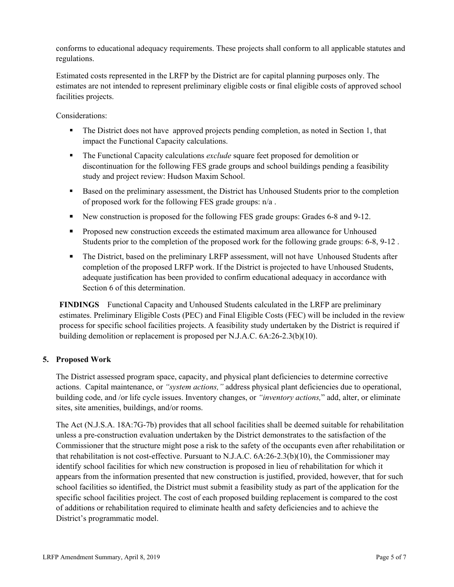conforms to educational adequacy requirements. These projects shall conform to all applicable statutes and regulations.

Estimated costs represented in the LRFP by the District are for capital planning purposes only. The estimates are not intended to represent preliminary eligible costs or final eligible costs of approved school facilities projects.

Considerations:

- The District does not have approved projects pending completion, as noted in Section 1, that impact the Functional Capacity calculations.
- The Functional Capacity calculations *exclude* square feet proposed for demolition or discontinuation for the following FES grade groups and school buildings pending a feasibility study and project review: Hudson Maxim School.
- Based on the preliminary assessment, the District has Unhoused Students prior to the completion of proposed work for the following FES grade groups: n/a .
- New construction is proposed for the following FES grade groups: Grades 6-8 and 9-12.
- **Proposed new construction exceeds the estimated maximum area allowance for Unhoused** Students prior to the completion of the proposed work for the following grade groups: 6-8, 9-12 .
- The District, based on the preliminary LRFP assessment, will not have Unhoused Students after completion of the proposed LRFP work. If the District is projected to have Unhoused Students, adequate justification has been provided to confirm educational adequacy in accordance with Section 6 of this determination.

**FINDINGS** Functional Capacity and Unhoused Students calculated in the LRFP are preliminary estimates. Preliminary Eligible Costs (PEC) and Final Eligible Costs (FEC) will be included in the review process for specific school facilities projects. A feasibility study undertaken by the District is required if building demolition or replacement is proposed per N.J.A.C. 6A:26-2.3(b)(10).

## **5. Proposed Work**

The District assessed program space, capacity, and physical plant deficiencies to determine corrective actions. Capital maintenance, or *"system actions,"* address physical plant deficiencies due to operational, building code, and /or life cycle issues. Inventory changes, or *"inventory actions,*" add, alter, or eliminate sites, site amenities, buildings, and/or rooms.

The Act (N.J.S.A. 18A:7G-7b) provides that all school facilities shall be deemed suitable for rehabilitation unless a pre-construction evaluation undertaken by the District demonstrates to the satisfaction of the Commissioner that the structure might pose a risk to the safety of the occupants even after rehabilitation or that rehabilitation is not cost-effective. Pursuant to N.J.A.C. 6A:26-2.3(b)(10), the Commissioner may identify school facilities for which new construction is proposed in lieu of rehabilitation for which it appears from the information presented that new construction is justified, provided, however, that for such school facilities so identified, the District must submit a feasibility study as part of the application for the specific school facilities project. The cost of each proposed building replacement is compared to the cost of additions or rehabilitation required to eliminate health and safety deficiencies and to achieve the District's programmatic model.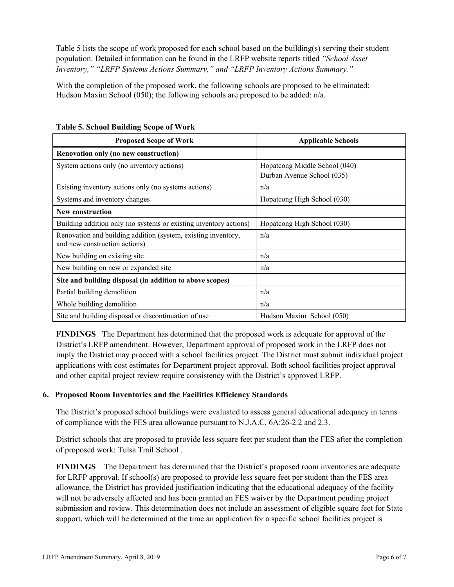Table 5 lists the scope of work proposed for each school based on the building(s) serving their student population. Detailed information can be found in the LRFP website reports titled *"School Asset Inventory," "LRFP Systems Actions Summary," and "LRFP Inventory Actions Summary."*

With the completion of the proposed work, the following schools are proposed to be eliminated: Hudson Maxim School (050); the following schools are proposed to be added:  $n/a$ .

| <b>Proposed Scope of Work</b>                                                                  | <b>Applicable Schools</b>     |
|------------------------------------------------------------------------------------------------|-------------------------------|
| Renovation only (no new construction)                                                          |                               |
| System actions only (no inventory actions)                                                     | Hopatcong Middle School (040) |
|                                                                                                | Durban Avenue School (035)    |
| Existing inventory actions only (no systems actions)                                           | n/a                           |
| Systems and inventory changes                                                                  | Hopatcong High School (030)   |
| New construction                                                                               |                               |
| Building addition only (no systems or existing inventory actions)                              | Hopatcong High School (030)   |
| Renovation and building addition (system, existing inventory,<br>and new construction actions) | n/a                           |
| New building on existing site                                                                  | n/a                           |
| New building on new or expanded site                                                           | n/a                           |
| Site and building disposal (in addition to above scopes)                                       |                               |
| Partial building demolition                                                                    | n/a                           |
| Whole building demolition                                                                      | n/a                           |
| Site and building disposal or discontinuation of use                                           | Hudson Maxim School (050)     |

**Table 5. School Building Scope of Work**

**FINDINGS** The Department has determined that the proposed work is adequate for approval of the District's LRFP amendment. However, Department approval of proposed work in the LRFP does not imply the District may proceed with a school facilities project. The District must submit individual project applications with cost estimates for Department project approval. Both school facilities project approval and other capital project review require consistency with the District's approved LRFP.

## **6. Proposed Room Inventories and the Facilities Efficiency Standards**

The District's proposed school buildings were evaluated to assess general educational adequacy in terms of compliance with the FES area allowance pursuant to N.J.A.C. 6A:26-2.2 and 2.3.

District schools that are proposed to provide less square feet per student than the FES after the completion of proposed work: Tulsa Trail School .

**FINDINGS** The Department has determined that the District's proposed room inventories are adequate for LRFP approval. If school(s) are proposed to provide less square feet per student than the FES area allowance, the District has provided justification indicating that the educational adequacy of the facility will not be adversely affected and has been granted an FES waiver by the Department pending project submission and review. This determination does not include an assessment of eligible square feet for State support, which will be determined at the time an application for a specific school facilities project is